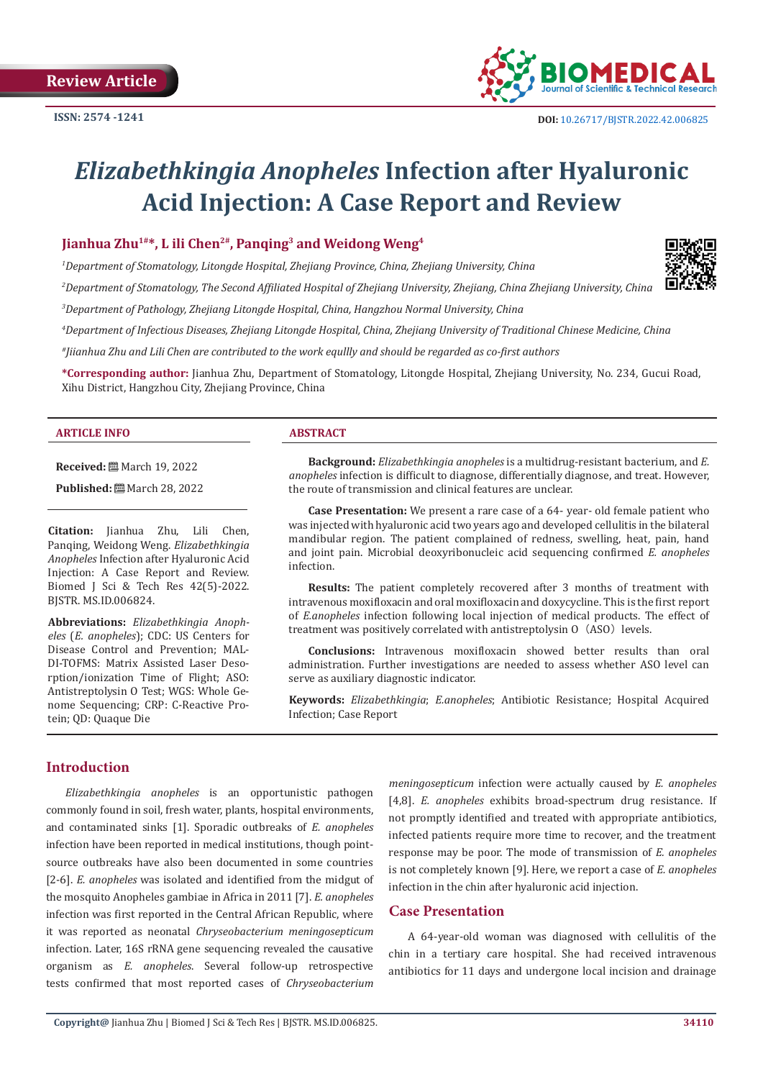

# *Elizabethkingia Anopheles* **Infection after Hyaluronic Acid Injection: A Case Report and Review**

## **Jianhua Zhu1#\*, L ili Chen2#, Panqing3 and Weidong Weng4**

*1 Department of Stomatology, Litongde Hospital, Zhejiang Province, China, Zhejiang University, China*

*2 Department of Stomatology, The Second Affiliated Hospital of Zhejiang University, Zhejiang, China Zhejiang University, China*

*3 Department of Pathology, Zhejiang Litongde Hospital, China, Hangzhou Normal University, China*

*4 Department of Infectious Diseases, Zhejiang Litongde Hospital, China, Zhejiang University of Traditional Chinese Medicine, China* 

*#Jiianhua Zhu and Lili Chen are contributed to the work equllly and should be regarded as co-first authors*

**\*Corresponding author:** Jianhua Zhu, Department of Stomatology, Litongde Hospital, Zhejiang University, No. 234, Gucui Road, Xihu District, Hangzhou City, Zhejiang Province, China

#### **ARTICLE INFO ABSTRACT**

**Received:** March 19, 2022

**Published:** ■ March 28, 2022

**Citation:** Jianhua Zhu, Lili Chen, Panqing, Weidong Weng. *Elizabethkingia Anopheles* Infection after Hyaluronic Acid Injection: A Case Report and Review. Biomed J Sci & Tech Res 42(5)-2022. BJSTR. MS.ID.006824.

**Abbreviations:** *Elizabethkingia Anopheles* (*E. anopheles*); CDC: US Centers for Disease Control and Prevention; MAL-DI-TOFMS: Matrix Assisted Laser Desorption/ionization Time of Flight; ASO: Antistreptolysin O Test; WGS: Whole Genome Sequencing; CRP: C-Reactive Protein; QD: Quaque Die

**Background:** *Elizabethkingia anopheles* is a multidrug-resistant bacterium, and *E. anopheles* infection is difficult to diagnose, differentially diagnose, and treat. However, the route of transmission and clinical features are unclear.

**Case Presentation:** We present a rare case of a 64- year- old female patient who was injected with hyaluronic acid two years ago and developed cellulitis in the bilateral mandibular region. The patient complained of redness, swelling, heat, pain, hand and joint pain. Microbial deoxyribonucleic acid sequencing confirmed *E. anopheles* infection.

**Results:** The patient completely recovered after 3 months of treatment with intravenous moxifloxacin and oral moxifloxacin and doxycycline. This is the first report of *E.anopheles* infection following local injection of medical products. The effect of treatment was positively correlated with antistreptolysin  $0$  (ASO) levels.

**Conclusions:** Intravenous moxifloxacin showed better results than oral administration. Further investigations are needed to assess whether ASO level can serve as auxiliary diagnostic indicator.

**Keywords:** *Elizabethkingia*; *E.anopheles*; Antibiotic Resistance; Hospital Acquired Infection; Case Report

# **Introduction**

*Elizabethkingia anopheles* is an opportunistic pathogen commonly found in soil, fresh water, plants, hospital environments, and contaminated sinks [1]. Sporadic outbreaks of *E. anopheles* infection have been reported in medical institutions, though pointsource outbreaks have also been documented in some countries [2-6]. *E. anopheles* was isolated and identified from the midgut of the mosquito Anopheles gambiae in Africa in 2011 [7]. *E. anopheles* infection was first reported in the Central African Republic, where it was reported as neonatal *Chryseobacterium meningosepticum* infection. Later, 16S rRNA gene sequencing revealed the causative organism as *E. anopheles*. Several follow-up retrospective tests confirmed that most reported cases of *Chryseobacterium* 

*meningosepticum* infection were actually caused by *E. anopheles* [4,8]. *E. anopheles* exhibits broad-spectrum drug resistance. If not promptly identified and treated with appropriate antibiotics, infected patients require more time to recover, and the treatment response may be poor. The mode of transmission of *E. anopheles* is not completely known [9]. Here, we report a case of *E. anopheles* infection in the chin after hyaluronic acid injection.

#### **Case Presentation**

A 64-year-old woman was diagnosed with cellulitis of the chin in a tertiary care hospital. She had received intravenous antibiotics for 11 days and undergone local incision and drainage

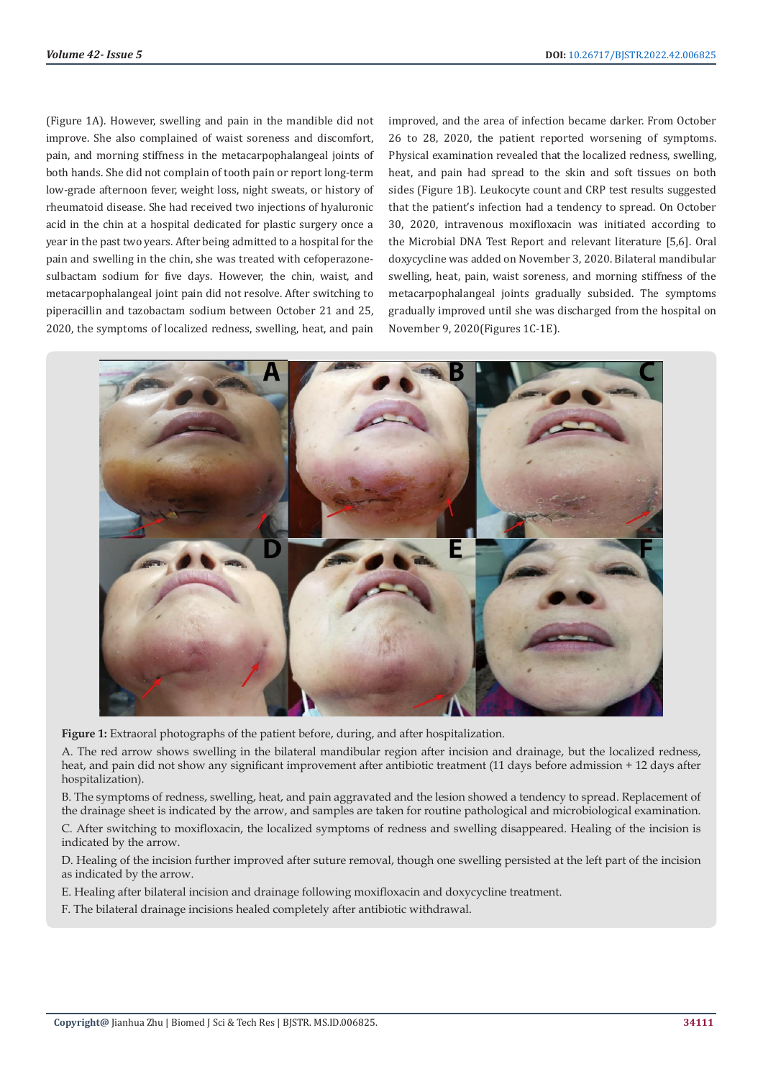(Figure 1A). However, swelling and pain in the mandible did not improve. She also complained of waist soreness and discomfort, pain, and morning stiffness in the metacarpophalangeal joints of both hands. She did not complain of tooth pain or report long-term low-grade afternoon fever, weight loss, night sweats, or history of rheumatoid disease. She had received two injections of hyaluronic acid in the chin at a hospital dedicated for plastic surgery once a year in the past two years. After being admitted to a hospital for the pain and swelling in the chin, she was treated with cefoperazonesulbactam sodium for five days. However, the chin, waist, and metacarpophalangeal joint pain did not resolve. After switching to piperacillin and tazobactam sodium between October 21 and 25, 2020, the symptoms of localized redness, swelling, heat, and pain

improved, and the area of infection became darker. From October 26 to 28, 2020, the patient reported worsening of symptoms. Physical examination revealed that the localized redness, swelling, heat, and pain had spread to the skin and soft tissues on both sides (Figure 1B). Leukocyte count and CRP test results suggested that the patient's infection had a tendency to spread. On October 30, 2020, intravenous moxifloxacin was initiated according to the Microbial DNA Test Report and relevant literature [5,6]. Oral doxycycline was added on November 3, 2020. Bilateral mandibular swelling, heat, pain, waist soreness, and morning stiffness of the metacarpophalangeal joints gradually subsided. The symptoms gradually improved until she was discharged from the hospital on November 9, 2020(Figures 1C-1E).



**Figure 1:** Extraoral photographs of the patient before, during, and after hospitalization.

A. The red arrow shows swelling in the bilateral mandibular region after incision and drainage, but the localized redness, heat, and pain did not show any significant improvement after antibiotic treatment (11 days before admission + 12 days after hospitalization).

B. The symptoms of redness, swelling, heat, and pain aggravated and the lesion showed a tendency to spread. Replacement of the drainage sheet is indicated by the arrow, and samples are taken for routine pathological and microbiological examination. C. After switching to moxifloxacin, the localized symptoms of redness and swelling disappeared. Healing of the incision is indicated by the arrow.

D. Healing of the incision further improved after suture removal, though one swelling persisted at the left part of the incision as indicated by the arrow.

E. Healing after bilateral incision and drainage following moxifloxacin and doxycycline treatment.

F. The bilateral drainage incisions healed completely after antibiotic withdrawal.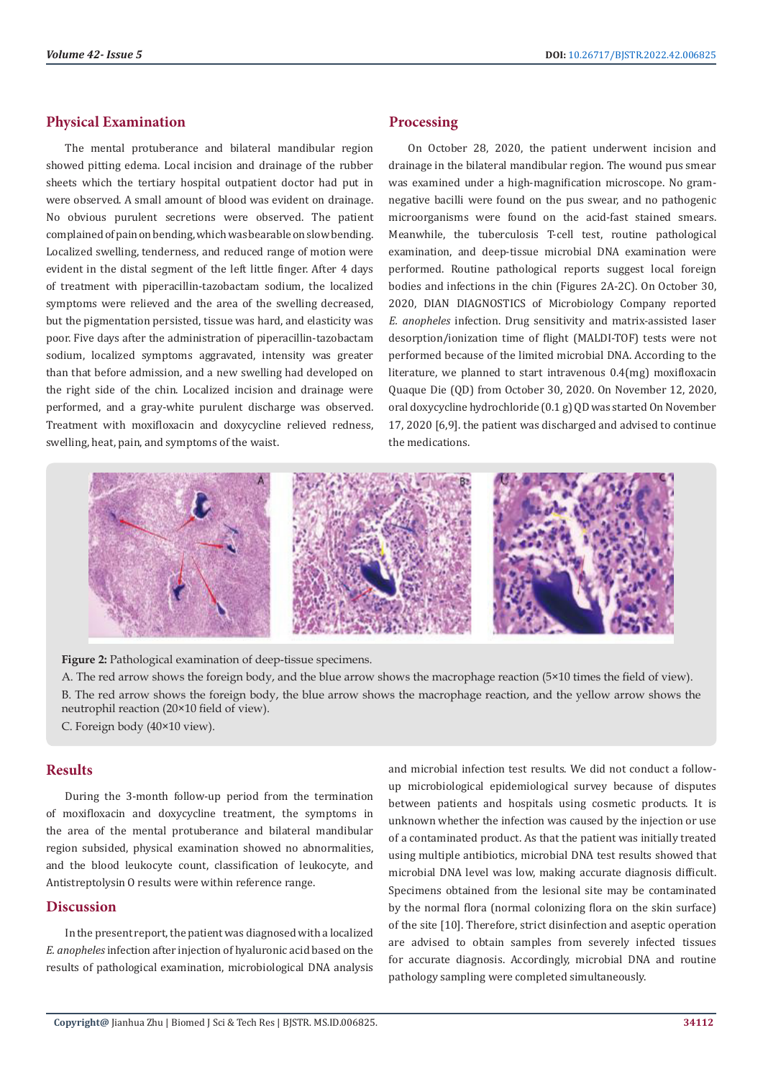#### **Physical Examination**

The mental protuberance and bilateral mandibular region showed pitting edema. Local incision and drainage of the rubber sheets which the tertiary hospital outpatient doctor had put in were observed. A small amount of blood was evident on drainage. No obvious purulent secretions were observed. The patient complained of pain on bending, which was bearable on slow bending. Localized swelling, tenderness, and reduced range of motion were evident in the distal segment of the left little finger. After 4 days of treatment with piperacillin-tazobactam sodium, the localized symptoms were relieved and the area of the swelling decreased, but the pigmentation persisted, tissue was hard, and elasticity was poor. Five days after the administration of piperacillin-tazobactam sodium, localized symptoms aggravated, intensity was greater than that before admission, and a new swelling had developed on the right side of the chin. Localized incision and drainage were performed, and a gray-white purulent discharge was observed. Treatment with moxifloxacin and doxycycline relieved redness, swelling, heat, pain, and symptoms of the waist.

#### **Processing**

On October 28, 2020, the patient underwent incision and drainage in the bilateral mandibular region. The wound pus smear was examined under a high-magnification microscope. No gramnegative bacilli were found on the pus swear, and no pathogenic microorganisms were found on the acid-fast stained smears. Meanwhile, the tuberculosis T-cell test, routine pathological examination, and deep-tissue microbial DNA examination were performed. Routine pathological reports suggest local foreign bodies and infections in the chin (Figures 2A-2C). On October 30, 2020, DIAN DIAGNOSTICS of Microbiology Company reported *E. anopheles* infection. Drug sensitivity and matrix-assisted laser desorption/ionization time of flight (MALDI-TOF) tests were not performed because of the limited microbial DNA. According to the literature, we planned to start intravenous 0.4(mg) moxifloxacin Quaque Die (QD) from October 30, 2020. On November 12, 2020, oral doxycycline hydrochloride (0.1 g) QD was started On November 17, 2020 [6,9]. the patient was discharged and advised to continue the medications.



**Figure 2:** Pathological examination of deep-tissue specimens.

A. The red arrow shows the foreign body, and the blue arrow shows the macrophage reaction (5×10 times the field of view). B. The red arrow shows the foreign body, the blue arrow shows the macrophage reaction, and the yellow arrow shows the neutrophil reaction (20×10 field of view).

C. Foreign body (40×10 view).

### **Results**

During the 3-month follow-up period from the termination of moxifloxacin and doxycycline treatment, the symptoms in the area of the mental protuberance and bilateral mandibular region subsided, physical examination showed no abnormalities, and the blood leukocyte count, classification of leukocyte, and Antistreptolysin O results were within reference range.

#### **Discussion**

In the present report, the patient was diagnosed with a localized *E. anopheles* infection after injection of hyaluronic acid based on the results of pathological examination, microbiological DNA analysis

and microbial infection test results. We did not conduct a followup microbiological epidemiological survey because of disputes between patients and hospitals using cosmetic products. It is unknown whether the infection was caused by the injection or use of a contaminated product. As that the patient was initially treated using multiple antibiotics, microbial DNA test results showed that microbial DNA level was low, making accurate diagnosis difficult. Specimens obtained from the lesional site may be contaminated by the normal flora (normal colonizing flora on the skin surface) of the site [10]. Therefore, strict disinfection and aseptic operation are advised to obtain samples from severely infected tissues for accurate diagnosis. Accordingly, microbial DNA and routine pathology sampling were completed simultaneously.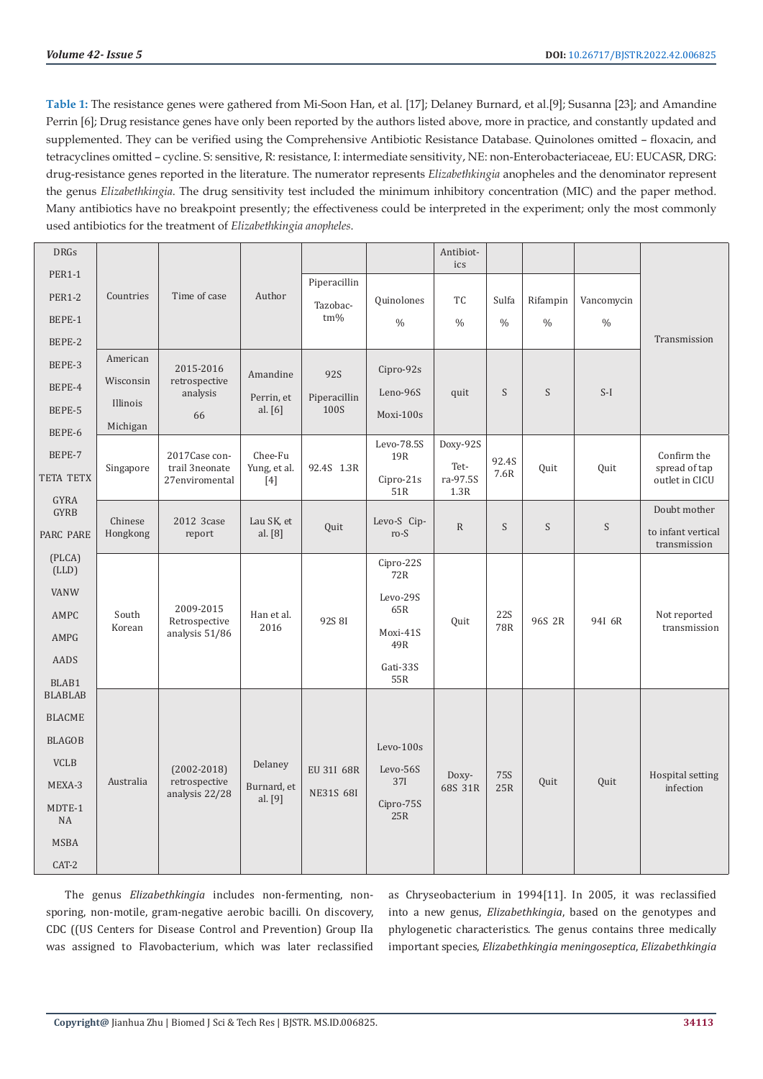**Table 1:** The resistance genes were gathered from Mi-Soon Han, et al. [17]; Delaney Burnard, et al.[9]; Susanna [23]; and Amandine Perrin [6]; Drug resistance genes have only been reported by the authors listed above, more in practice, and constantly updated and supplemented. They can be verified using the Comprehensive Antibiotic Resistance Database. Quinolones omitted – floxacin, and tetracyclines omitted – cycline. S: sensitive, R: resistance, I: intermediate sensitivity, NE: non-Enterobacteriaceae, EU: EUCASR, DRG: drug-resistance genes reported in the literature. The numerator represents *Elizabethkingia* anopheles and the denominator represent the genus *Elizabethkingia*. The drug sensitivity test included the minimum inhibitory concentration (MIC) and the paper method. Many antibiotics have no breakpoint presently; the effectiveness could be interpreted in the experiment; only the most commonly used antibiotics for the treatment of *Elizabethkingia anopheles*.

| <b>DRGs</b>             |                                                                      |                                                    |                                   |                                |                       | Antibiot-<br>ics                     |                          |               |               |                                                |
|-------------------------|----------------------------------------------------------------------|----------------------------------------------------|-----------------------------------|--------------------------------|-----------------------|--------------------------------------|--------------------------|---------------|---------------|------------------------------------------------|
| <b>PER1-1</b>           |                                                                      |                                                    |                                   | Piperacillin                   |                       |                                      |                          |               |               |                                                |
| <b>PER1-2</b>           | Countries                                                            | Time of case                                       | Author                            | Tazobac-                       | Quinolones            | <b>TC</b>                            | Sulfa                    | Rifampin      | Vancomycin    |                                                |
| BEPE-1                  |                                                                      |                                                    |                                   | tm%                            | $\frac{0}{0}$         | $\frac{0}{0}$                        | $\frac{0}{0}$            | $\frac{0}{0}$ | $\frac{0}{0}$ |                                                |
| BEPE-2                  |                                                                      |                                                    |                                   |                                |                       |                                      |                          |               |               | Transmission                                   |
| BEPE-3                  | American                                                             | 2015-2016                                          |                                   |                                | $Cipro-92s$           |                                      |                          |               |               |                                                |
| BEPE-4                  | retrospective<br>Wisconsin<br>analysis<br>Illinois<br>66<br>Michigan |                                                    | Amandine                          | <b>92S</b>                     | Leno-96S              | quit                                 | S                        | S             | $S-I$         |                                                |
| BEPE-5                  |                                                                      | Perrin, et<br>al. [6]                              | Piperacillin<br>100S              | Moxi-100s                      |                       |                                      |                          |               |               |                                                |
| BEPE-6                  |                                                                      |                                                    |                                   |                                |                       |                                      |                          |               |               |                                                |
| BEPE-7                  | Singapore                                                            | 2017Case con-<br>trail 3neonate<br>27enviromental  | Chee-Fu<br>Yung, et al.<br>$[4]$  | 92.4S 1.3R                     | Levo-78.5S<br>19R     | Doxy-92S<br>Tet-<br>ra-97.5S<br>1.3R | 92.4S<br>7.6R            | Ouit          | Ouit          | Confirm the<br>spread of tap<br>outlet in CICU |
| <b>TETA TETX</b>        |                                                                      |                                                    |                                   |                                | $Cipro-21s$           |                                      |                          |               |               |                                                |
| <b>GYRA</b>             |                                                                      |                                                    |                                   |                                | 51R                   |                                      |                          |               |               |                                                |
| <b>GYRB</b>             | Chinese<br>Hongkong                                                  | 2012 3case<br>report                               | Lau SK, et<br>al. [8]             | Quit                           | Levo-S Cip-<br>$ro-S$ | $\mathbb{R}$                         | S                        | S             | S             | Doubt mother                                   |
| <b>PARC PARE</b>        |                                                                      |                                                    |                                   |                                |                       |                                      |                          |               |               | to infant vertical<br>transmission             |
| (PLCA)<br>(LLD)         |                                                                      |                                                    |                                   |                                | Cipro-22S<br>72R      |                                      |                          |               |               |                                                |
| <b>VANW</b>             | South<br>Korean                                                      | 2009-2015<br>Retrospective<br>analysis 51/86       | Han et al.<br>2016                | 92S 8I                         | Levo-29S              | Quit                                 | <b>22S</b><br><b>78R</b> | 96S 2R        | 94I 6R        | Not reported<br>transmission                   |
| AMPC                    |                                                                      |                                                    |                                   |                                | 65R                   |                                      |                          |               |               |                                                |
| AMPG                    |                                                                      |                                                    |                                   |                                | Moxi-41S<br>49R       |                                      |                          |               |               |                                                |
| AADS                    |                                                                      |                                                    |                                   |                                | Gati-33S              |                                      |                          |               |               |                                                |
| BLAB1<br><b>BLABLAB</b> |                                                                      |                                                    |                                   |                                | 55R                   |                                      |                          |               |               |                                                |
| <b>BLACME</b>           |                                                                      |                                                    |                                   |                                |                       |                                      |                          |               |               |                                                |
| <b>BLAGOB</b>           | Australia                                                            | $(2002 - 2018)$<br>retrospective<br>analysis 22/28 | Delaney<br>Burnard, et<br>al. [9] | EU 31I 68R<br><b>NE31S 68I</b> | $Levo-100s$           | Doxy-<br>68S 31R                     | <b>75S</b><br>25R        | Quit          | Quit          | Hospital setting<br>infection                  |
| <b>VCLB</b>             |                                                                      |                                                    |                                   |                                |                       |                                      |                          |               |               |                                                |
| MEXA-3                  |                                                                      |                                                    |                                   |                                | Levo-56S<br>37I       |                                      |                          |               |               |                                                |
| MDTE-1<br><b>NA</b>     |                                                                      |                                                    |                                   |                                | $Cipro-75S$<br>25R    |                                      |                          |               |               |                                                |
| <b>MSBA</b>             |                                                                      |                                                    |                                   |                                |                       |                                      |                          |               |               |                                                |
| CAT-2                   |                                                                      |                                                    |                                   |                                |                       |                                      |                          |               |               |                                                |

The genus *Elizabethkingia* includes non-fermenting, nonsporing, non-motile, gram-negative aerobic bacilli. On discovery, CDC ((US Centers for Disease Control and Prevention) Group IIa was assigned to Flavobacterium, which was later reclassified

as Chryseobacterium in 1994[11]. In 2005, it was reclassified into a new genus, *Elizabethkingia*, based on the genotypes and phylogenetic characteristics. The genus contains three medically important species, *Elizabethkingia meningoseptica*, *Elizabethkingia*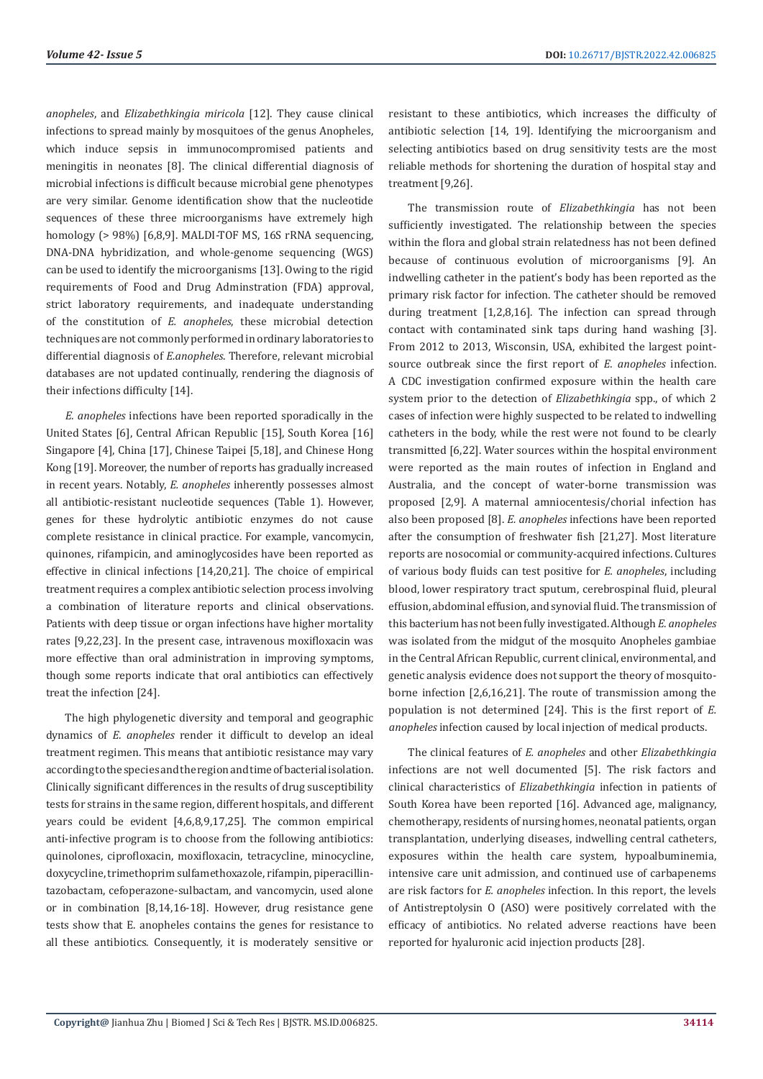*anopheles*, and *Elizabethkingia miricola* [12]. They cause clinical infections to spread mainly by mosquitoes of the genus Anopheles, which induce sepsis in immunocompromised patients and meningitis in neonates [8]. The clinical differential diagnosis of microbial infections is difficult because microbial gene phenotypes are very similar. Genome identification show that the nucleotide sequences of these three microorganisms have extremely high homology (> 98%) [6,8,9]. MALDI-TOF MS, 16S rRNA sequencing, DNA-DNA hybridization, and whole-genome sequencing (WGS) can be used to identify the microorganisms [13]. Owing to the rigid requirements of Food and Drug Adminstration (FDA) approval, strict laboratory requirements, and inadequate understanding of the constitution of *E. anopheles*, these microbial detection techniques are not commonly performed in ordinary laboratories to differential diagnosis of *E.anopheles*. Therefore, relevant microbial databases are not updated continually, rendering the diagnosis of their infections difficulty [14].

*E. anopheles* infections have been reported sporadically in the United States [6], Central African Republic [15], South Korea [16] Singapore [4], China [17], Chinese Taipei [5,18], and Chinese Hong Kong [19]. Moreover, the number of reports has gradually increased in recent years. Notably, *E. anopheles* inherently possesses almost all antibiotic-resistant nucleotide sequences (Table 1). However, genes for these hydrolytic antibiotic enzymes do not cause complete resistance in clinical practice. For example, vancomycin, quinones, rifampicin, and aminoglycosides have been reported as effective in clinical infections [14,20,21]. The choice of empirical treatment requires a complex antibiotic selection process involving a combination of literature reports and clinical observations. Patients with deep tissue or organ infections have higher mortality rates [9,22,23]. In the present case, intravenous moxifloxacin was more effective than oral administration in improving symptoms, though some reports indicate that oral antibiotics can effectively treat the infection [24].

The high phylogenetic diversity and temporal and geographic dynamics of *E. anopheles* render it difficult to develop an ideal treatment regimen. This means that antibiotic resistance may vary according to the species and the region and time of bacterial isolation. Clinically significant differences in the results of drug susceptibility tests for strains in the same region, different hospitals, and different years could be evident [4,6,8,9,17,25]. The common empirical anti-infective program is to choose from the following antibiotics: quinolones, ciprofloxacin, moxifloxacin, tetracycline, minocycline, doxycycline, trimethoprim sulfamethoxazole, rifampin, piperacillintazobactam, cefoperazone-sulbactam, and vancomycin, used alone or in combination [8,14,16-18]. However, drug resistance gene tests show that E. anopheles contains the genes for resistance to all these antibiotics. Consequently, it is moderately sensitive or

resistant to these antibiotics, which increases the difficulty of antibiotic selection [14, 19]. Identifying the microorganism and selecting antibiotics based on drug sensitivity tests are the most reliable methods for shortening the duration of hospital stay and treatment [9,26].

The transmission route of *Elizabethkingia* has not been sufficiently investigated. The relationship between the species within the flora and global strain relatedness has not been defined because of continuous evolution of microorganisms [9]. An indwelling catheter in the patient's body has been reported as the primary risk factor for infection. The catheter should be removed during treatment [1,2,8,16]. The infection can spread through contact with contaminated sink taps during hand washing [3]. From 2012 to 2013, Wisconsin, USA, exhibited the largest pointsource outbreak since the first report of *E. anopheles* infection. A CDC investigation confirmed exposure within the health care system prior to the detection of *Elizabethkingia* spp., of which 2 cases of infection were highly suspected to be related to indwelling catheters in the body, while the rest were not found to be clearly transmitted [6,22]. Water sources within the hospital environment were reported as the main routes of infection in England and Australia, and the concept of water-borne transmission was proposed [2,9]. A maternal amniocentesis/chorial infection has also been proposed [8]. *E. anopheles* infections have been reported after the consumption of freshwater fish [21,27]. Most literature reports are nosocomial or community-acquired infections. Cultures of various body fluids can test positive for *E. anopheles*, including blood, lower respiratory tract sputum, cerebrospinal fluid, pleural effusion, abdominal effusion, and synovial fluid. The transmission of this bacterium has not been fully investigated. Although *E. anopheles* was isolated from the midgut of the mosquito Anopheles gambiae in the Central African Republic, current clinical, environmental, and genetic analysis evidence does not support the theory of mosquitoborne infection [2,6,16,21]. The route of transmission among the population is not determined [24]. This is the first report of *E. anopheles* infection caused by local injection of medical products.

The clinical features of *E. anopheles* and other *Elizabethkingia* infections are not well documented [5]. The risk factors and clinical characteristics of *Elizabethkingia* infection in patients of South Korea have been reported [16]. Advanced age, malignancy, chemotherapy, residents of nursing homes, neonatal patients, organ transplantation, underlying diseases, indwelling central catheters, exposures within the health care system, hypoalbuminemia, intensive care unit admission, and continued use of carbapenems are risk factors for *E. anopheles* infection. In this report, the levels of Antistreptolysin O (ASO) were positively correlated with the efficacy of antibiotics. No related adverse reactions have been reported for hyaluronic acid injection products [28].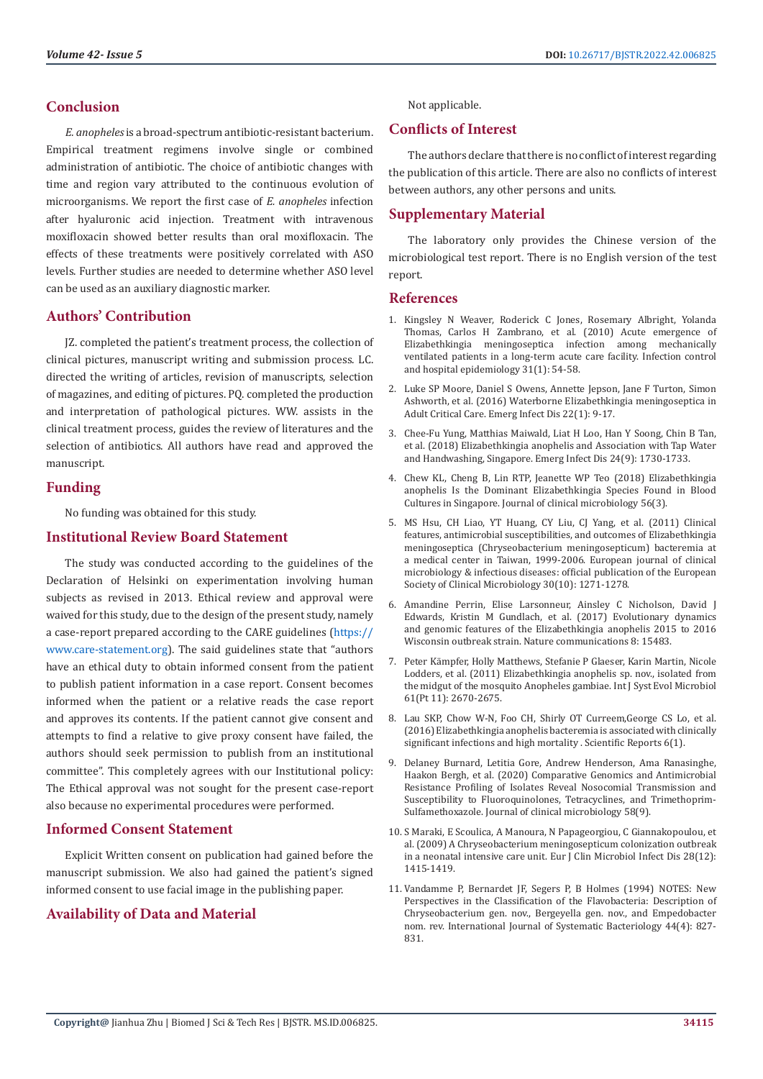#### **Conclusion**

*E. anopheles* is a broad-spectrum antibiotic-resistant bacterium. Empirical treatment regimens involve single or combined administration of antibiotic. The choice of antibiotic changes with time and region vary attributed to the continuous evolution of microorganisms. We report the first case of *E. anopheles* infection after hyaluronic acid injection. Treatment with intravenous moxifloxacin showed better results than oral moxifloxacin. The effects of these treatments were positively correlated with ASO levels. Further studies are needed to determine whether ASO level can be used as an auxiliary diagnostic marker.

# **Authors' Contribution**

JZ. completed the patient's treatment process, the collection of clinical pictures, manuscript writing and submission process. LC. directed the writing of articles, revision of manuscripts, selection of magazines, and editing of pictures. PQ. completed the production and interpretation of pathological pictures. WW. assists in the clinical treatment process, guides the review of literatures and the selection of antibiotics. All authors have read and approved the manuscript.

## **Funding**

No funding was obtained for this study.

# **Institutional Review Board Statement**

The study was conducted according to the guidelines of the Declaration of Helsinki on experimentation involving human subjects as revised in 2013. Ethical review and approval were waived for this study, due to the design of the present study, namely a case-report prepared according to the CARE guidelines ([https://](https://www.care-statement.org) [www.care-statement.org\)](https://www.care-statement.org). The said guidelines state that "authors have an ethical duty to obtain informed consent from the patient to publish patient information in a case report. Consent becomes informed when the patient or a relative reads the case report and approves its contents. If the patient cannot give consent and attempts to find a relative to give proxy consent have failed, the authors should seek permission to publish from an institutional committee". This completely agrees with our Institutional policy: The Ethical approval was not sought for the present case-report also because no experimental procedures were performed.

# **Informed Consent Statement**

Explicit Written consent on publication had gained before the manuscript submission. We also had gained the patient's signed informed consent to use facial image in the publishing paper.

# **Availability of Data and Material**

Not applicable.

# **Conflicts of Interest**

The authors declare that there is no conflict of interest regarding the publication of this article. There are also no conflicts of interest between authors, any other persons and units.

# **Supplementary Material**

The laboratory only provides the Chinese version of the microbiological test report. There is no English version of the test report.

#### **References**

- 1. [Kingsley N Weaver, Roderick C Jones, Rosemary Albright, Yolanda](https://pubmed.ncbi.nlm.nih.gov/19929372/) [Thomas, Carlos H Zambrano, et al. \(2010\) Acute emergence of](https://pubmed.ncbi.nlm.nih.gov/19929372/) [Elizabethkingia meningoseptica infection among mechanically](https://pubmed.ncbi.nlm.nih.gov/19929372/) [ventilated patients in a long-term acute care facility. Infection control](https://pubmed.ncbi.nlm.nih.gov/19929372/) [and hospital epidemiology 31\(1\): 54-58.](https://pubmed.ncbi.nlm.nih.gov/19929372/)
- 2. [Luke SP Moore, Daniel S Owens, Annette Jepson, Jane F Turton, Simon](https://www.ncbi.nlm.nih.gov/pmc/articles/PMC4696684/) [Ashworth, et al. \(2016\) Waterborne Elizabethkingia meningoseptica in](https://www.ncbi.nlm.nih.gov/pmc/articles/PMC4696684/) [Adult Critical Care. Emerg Infect Dis 22\(1\): 9-17.](https://www.ncbi.nlm.nih.gov/pmc/articles/PMC4696684/)
- 3. [Chee-Fu Yung, Matthias Maiwald, Liat H Loo, Han Y Soong, Chin B Tan,](https://www.ncbi.nlm.nih.gov/pmc/articles/PMC6106401/) [et al. \(2018\) Elizabethkingia anophelis and Association with Tap Water](https://www.ncbi.nlm.nih.gov/pmc/articles/PMC6106401/) [and Handwashing, Singapore. Emerg Infect Dis 24\(9\): 1730-1733.](https://www.ncbi.nlm.nih.gov/pmc/articles/PMC6106401/)
- 4. [Chew KL, Cheng B, Lin RTP, Jeanette WP Teo \(2018\) Elizabethkingia](https://www.ncbi.nlm.nih.gov/pmc/articles/PMC5824065/) [anophelis Is the Dominant Elizabethkingia Species Found in Blood](https://www.ncbi.nlm.nih.gov/pmc/articles/PMC5824065/) [Cultures in Singapore. Journal of clinical microbiology 56\(3\).](https://www.ncbi.nlm.nih.gov/pmc/articles/PMC5824065/)
- 5. [MS Hsu, CH Liao, YT Huang, CY Liu, CJ Yang, et al. \(2011\) Clinical](https://pubmed.ncbi.nlm.nih.gov/21461847/) [features, antimicrobial susceptibilities, and outcomes of Elizabethkingia](https://pubmed.ncbi.nlm.nih.gov/21461847/) [meningoseptica \(Chryseobacterium meningosepticum\) bacteremia at](https://pubmed.ncbi.nlm.nih.gov/21461847/) [a medical center in Taiwan, 1999-2006. European journal of clinical](https://pubmed.ncbi.nlm.nih.gov/21461847/) [microbiology & infectious diseases: official publication of the European](https://pubmed.ncbi.nlm.nih.gov/21461847/) [Society of Clinical Microbiology 30\(10\): 1271-1278.](https://pubmed.ncbi.nlm.nih.gov/21461847/)
- 6. [Amandine Perrin, Elise Larsonneur, Ainsley C Nicholson, David J](https://pubmed.ncbi.nlm.nih.gov/28537263/) [Edwards, Kristin M Gundlach, et al. \(2017\) Evolutionary dynamics](https://pubmed.ncbi.nlm.nih.gov/28537263/) [and genomic features of the Elizabethkingia anophelis 2015 to 2016](https://pubmed.ncbi.nlm.nih.gov/28537263/) [Wisconsin outbreak strain. Nature communications 8: 15483.](https://pubmed.ncbi.nlm.nih.gov/28537263/)
- 7. [Peter Kämpfer, Holly Matthews, Stefanie P Glaeser, Karin Martin, Nicole](https://pubmed.ncbi.nlm.nih.gov/21169462/) [Lodders, et al. \(2011\) Elizabethkingia anophelis sp. nov., isolated from](https://pubmed.ncbi.nlm.nih.gov/21169462/) [the midgut of the mosquito Anopheles gambiae. Int J Syst Evol Microbiol](https://pubmed.ncbi.nlm.nih.gov/21169462/) [61\(Pt 11\): 2670-2675.](https://pubmed.ncbi.nlm.nih.gov/21169462/)
- 8. [Lau SKP, Chow W-N, Foo CH, Shirly OT Curreem,George CS Lo, et al.](https://www.researchgate.net/publication/303317283_Elizabethkingia_anophelis_bacteremia_is_associated_with_clinically_significant_infections_and_high_mortality) [\(2016\) Elizabethkingia anophelis bacteremia is associated with clinically](https://www.researchgate.net/publication/303317283_Elizabethkingia_anophelis_bacteremia_is_associated_with_clinically_significant_infections_and_high_mortality) [significant infections and high mortality . Scientific Reports 6\(1\).](https://www.researchgate.net/publication/303317283_Elizabethkingia_anophelis_bacteremia_is_associated_with_clinically_significant_infections_and_high_mortality)
- 9. [Delaney Burnard, Letitia Gore, Andrew Henderson, Ama Ranasinghe,](https://pubmed.ncbi.nlm.nih.gov/32580952/) [Haakon Bergh, et al. \(2020\) Comparative Genomics and Antimicrobial](https://pubmed.ncbi.nlm.nih.gov/32580952/) [Resistance Profiling of Isolates Reveal Nosocomial Transmission and](https://pubmed.ncbi.nlm.nih.gov/32580952/) [Susceptibility to Fluoroquinolones, Tetracyclines, and Trimethoprim-](https://pubmed.ncbi.nlm.nih.gov/32580952/)[Sulfamethoxazole. Journal of clinical microbiology 58\(9\).](https://pubmed.ncbi.nlm.nih.gov/32580952/)
- 10. [S Maraki, E Scoulica, A Manoura, N Papageorgiou, C Giannakopoulou, et](https://pubmed.ncbi.nlm.nih.gov/19685348/) [al. \(2009\) A Chryseobacterium meningosepticum colonization outbreak](https://pubmed.ncbi.nlm.nih.gov/19685348/) [in a neonatal intensive care unit. Eur J Clin Microbiol Infect Dis 28\(12\):](https://pubmed.ncbi.nlm.nih.gov/19685348/) [1415-1419.](https://pubmed.ncbi.nlm.nih.gov/19685348/)
- 11. [Vandamme P, Bernardet JF, Segers P, B Holmes \(1994\) NOTES: New](https://www.microbiologyresearch.org/content/journal/ijsem/10.1099/00207713-44-4-827) [Perspectives in the Classification of the Flavobacteria: Description of](https://www.microbiologyresearch.org/content/journal/ijsem/10.1099/00207713-44-4-827) [Chryseobacterium gen. nov., Bergeyella gen. nov., and Empedobacter](https://www.microbiologyresearch.org/content/journal/ijsem/10.1099/00207713-44-4-827) [nom. rev. International Journal of Systematic Bacteriology 44\(4\): 827-](https://www.microbiologyresearch.org/content/journal/ijsem/10.1099/00207713-44-4-827) [831.](https://www.microbiologyresearch.org/content/journal/ijsem/10.1099/00207713-44-4-827)